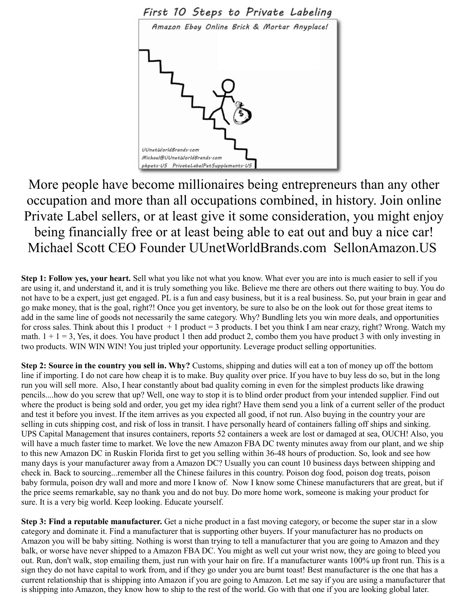

More people have become millionaires being entrepreneurs than any other occupation and more than all occupations combined, in history. Join online Private Label sellers, or at least give it some consideration, you might enjoy being financially free or at least being able to eat out and buy a nice car! Michael Scott CEO Founder UUnetWorldBrands.com SellonAmazon.US

**Step 1: Follow yes, your heart.** Sell what you like not what you know. What ever you are into is much easier to sell if you are using it, and understand it, and it is truly something you like. Believe me there are others out there waiting to buy. You do not have to be a expert, just get engaged. PL is a fun and easy business, but it is a real business. So, put your brain in gear and go make money, that is the goal, right?! Once you get inventory, be sure to also be on the look out for those great items to add in the same line of goods not necessarily the same category. Why? Bundling lets you win more deals, and opportunities for cross sales. Think about this 1 product  $+ 1$  product = 3 products. I bet you think I am near crazy, right? Wrong. Watch my math.  $1 + 1 = 3$ , Yes, it does. You have product 1 then add product 2, combo them you have product 3 with only investing in two products. WIN WIN WIN! You just tripled your opportunity. Leverage product selling opportunities.

**Step 2: Source in the country you sell in. Why?** Customs, shipping and duties will eat a ton of money up off the bottom line if importing. I do not care how cheap it is to make. Buy quality over price. If you have to buy less do so, but in the long run you will sell more. Also, I hear constantly about bad quality coming in even for the simplest products like drawing pencils....how do you screw that up? Well, one way to stop it is to blind order product from your intended supplier. Find out where the product is being sold and order, you get my idea right? Have them send you a link of a current seller of the product and test it before you invest. If the item arrives as you expected all good, if not run. Also buying in the country your are selling in cuts shipping cost, and risk of loss in transit. I have personally heard of containers falling off ships and sinking. UPS Capital Management that insures containers, reports 52 containers a week are lost or damaged at sea, OUCH! Also, you will have a much faster time to market. We love the new Amazon FBA DC twenty minutes away from our plant, and we ship to this new Amazon DC in Ruskin Florida first to get you selling within 36-48 hours of production. So, look and see how many days is your manufacturer away from a Amazon DC? Usually you can count 10 business days between shipping and check in. Back to sourcing...remember all the Chinese failures in this country. Poison dog food, poison dog treats, poison baby formula, poison dry wall and more and more I know of. Now I know some Chinese manufacturers that are great, but if the price seems remarkable, say no thank you and do not buy. Do more home work, someone is making your product for sure. It is a very big world. Keep looking. Educate yourself.

**Step 3: Find a reputable manufacturer.** Get a niche product in a fast moving category, or become the super star in a slow category and dominate it. Find a manufacturer that is supporting other buyers. If your manufacturer has no products on Amazon you will be baby sitting. Nothing is worst than trying to tell a manufacturer that you are going to Amazon and they balk, or worse have never shipped to a Amazon FBA DC. You might as well cut your wrist now, they are going to bleed you out. Run, don't walk, stop emailing them, just run with your hair on fire. If a manufacturer wants 100% up front run. This is a sign they do not have capital to work from, and if they go under you are burnt toast! Best manufacturer is the one that has a current relationship that is shipping into Amazon if you are going to Amazon. Let me say if you are using a manufacturer that is shipping into Amazon, they know how to ship to the rest of the world. Go with that one if you are looking global later.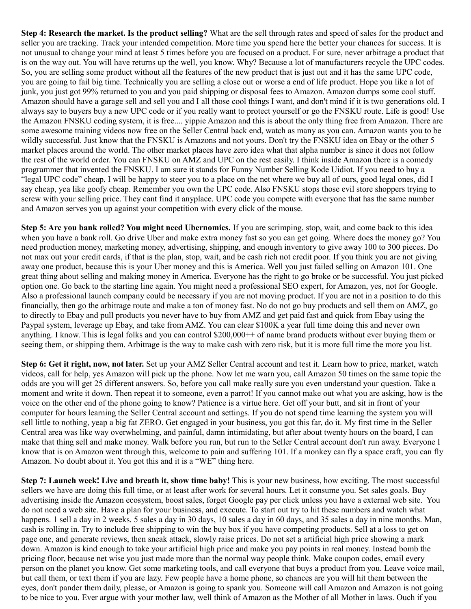**Step 4: Research the market. Is the product selling?** What are the sell through rates and speed of sales for the product and seller you are tracking. Track your intended competition. More time you spend here the better your chances for success. It is not unusual to change your mind at least 5 times before you are focused on a product. For sure, never arbitrage a product that is on the way out. You will have returns up the well, you know. Why? Because a lot of manufacturers recycle the UPC codes. So, you are selling some product without all the features of the new product that is just out and it has the same UPC code, you are going to fail big time. Technically you are selling a close out or worse a end of life product. Hope you like a lot of junk, you just got 99% returned to you and you paid shipping or disposal fees to Amazon. Amazon dumps some cool stuff. Amazon should have a garage sell and sell you and I all those cool things I want, and don't mind if it is two generations old. I always say to buyers buy a new UPC code or if you really want to protect yourself or go the FNSKU route. Life is good! Use the Amazon FNSKU coding system, it is free.... yippie Amazon and this is about the only thing free from Amazon. There are some awesome training videos now free on the Seller Central back end, watch as many as you can. Amazon wants you to be wildly successful. Just know that the FNSKU is Amazons and not yours. Don't try the FNSKU idea on Ebay or the other 5 market places around the world. The other market places have zero idea what that alpha number is since it does not follow the rest of the world order. You can FNSKU on AMZ and UPC on the rest easily. I think inside Amazon there is a comedy programmer that invented the FNSKU. I am sure it stands for Funny Number Selling Kode Uidiot. If you need to buy a "legal UPC code" cheap, I will be happy to steer you to a place on the net where we buy all of ours, good legal ones, did I say cheap, yea like goofy cheap. Remember you own the UPC code. Also FNSKU stops those evil store shoppers trying to screw with your selling price. They cant find it anyplace. UPC code you compete with everyone that has the same number and Amazon serves you up against your competition with every click of the mouse.

**Step 5: Are you bank rolled? You might need Ubernomics.** If you are scrimping, stop, wait, and come back to this idea when you have a bank roll. Go drive Uber and make extra money fast so you can get going. Where does the money go? You need production money, marketing money, advertising, shipping, and enough inventory to give away 100 to 300 pieces. Do not max out your credit cards, if that is the plan, stop, wait, and be cash rich not credit poor. If you think you are not giving away one product, because this is your Uber money and this is America. Well you just failed selling on Amazon 101. One great thing about selling and making money in America. Everyone has the right to go broke or be successful. You just picked option one. Go back to the starting line again. You might need a professional SEO expert, for Amazon, yes, not for Google. Also a professional launch company could be necessary if you are not moving product. If you are not in a position to do this financially, then go the arbitrage route and make a ton of money fast. No do not go buy products and sell them on AMZ, go to directly to Ebay and pull products you never have to buy from AMZ and get paid fast and quick from Ebay using the Paypal system, leverage up Ebay, and take from AMZ. You can clear \$100K a year full time doing this and never own anything. I know. This is legal folks and you can control \$200,000++ of name brand products without ever buying them or seeing them, or shipping them. Arbitrage is the way to make cash with zero risk, but it is more full time the more you list.

**Step 6: Get it right, now, not later.** Set up your AMZ Seller Central account and test it. Learn how to price, market, watch videos, call for help, yes Amazon will pick up the phone. Now let me warn you, call Amazon 50 times on the same topic the odds are you will get 25 different answers. So, before you call make really sure you even understand your question. Take a moment and write it down. Then repeat it to someone, even a parrot! If you cannot make out what you are asking, how is the voice on the other end of the phone going to know? Patience is a virtue here. Get off your butt, and sit in front of your computer for hours learning the Seller Central account and settings. If you do not spend time learning the system you will sell little to nothing, yeap a big fat ZERO. Get engaged in your business, you got this far, do it. My first time in the Seller Central area was like way overwhelming, and painful, damn intimidating, but after about twenty hours on the board, I can make that thing sell and make money. Walk before you run, but run to the Seller Central account don't run away. Everyone I know that is on Amazon went through this, welcome to pain and suffering 101. If a monkey can fly a space craft, you can fly Amazon. No doubt about it. You got this and it is a "WE" thing here.

**Step 7: Launch week! Live and breath it, show time baby!** This is your new business, how exciting. The most successful sellers we have are doing this full time, or at least after work for several hours. Let it consume you. Set sales goals. Buy advertising inside the Amazon ecosystem, boost sales, forget Google pay per click unless you have a external web site. You do not need a web site. Have a plan for your business, and execute. To start out try to hit these numbers and watch what happens. 1 sell a day in 2 weeks. 5 sales a day in 30 days, 10 sales a day in 60 days, and 35 sales a day in nine months. Man, cash is rolling in. Try to include free shipping to win the buy box if you have competing products. Sell at a loss to get on page one, and generate reviews, then sneak attack, slowly raise prices. Do not set a artificial high price showing a mark down. Amazon is kind enough to take your artificial high price and make you pay points in real money. Instead bomb the pricing floor, because net wise you just made more than the normal way people think. Make coupon codes, email every person on the planet you know. Get some marketing tools, and call everyone that buys a product from you. Leave voice mail, but call them, or text them if you are lazy. Few people have a home phone, so chances are you will hit them between the eyes, don't pander them daily, please, or Amazon is going to spank you. Someone will call Amazon and Amazon is not going to be nice to you. Ever argue with your mother law, well think of Amazon as the Mother of all Mother in laws. Ouch if you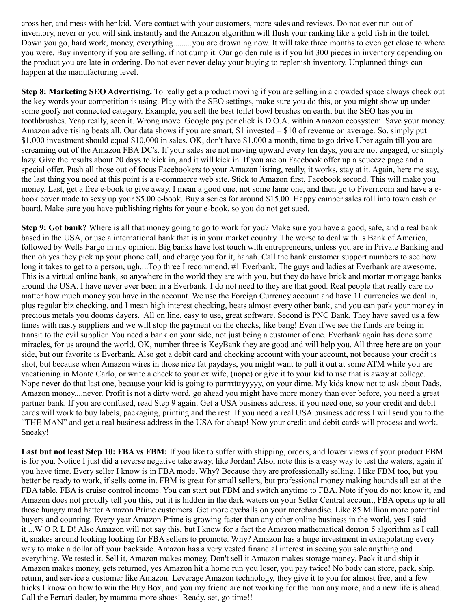cross her, and mess with her kid. More contact with your customers, more sales and reviews. Do not ever run out of inventory, never or you will sink instantly and the Amazon algorithm will flush your ranking like a gold fish in the toilet. Down you go, hard work, money, everything.........you are drowning now. It will take three months to even get close to where you were. Buy inventory if you are selling, if not dump it. Our golden rule is if you hit 300 pieces in inventory depending on the product you are late in ordering. Do not ever never delay your buying to replenish inventory. Unplanned things can happen at the manufacturing level.

**Step 8: Marketing SEO Advertising.** To really get a product moving if you are selling in a crowded space always check out the key words your competition is using. Play with the SEO settings, make sure you do this, or you might show up under some goofy not connected category. Example, you sell the best toilet bowl brushes on earth, but the SEO has you in toothbrushes. Yeap really, seen it. Wrong move. Google pay per click is D.O.A. within Amazon ecosystem. Save your money. Amazon advertising beats all. Our data shows if you are smart, \$1 invested = \$10 of revenue on average. So, simply put \$1,000 investment should equal \$10,000 in sales. OK, don't have \$1,000 a month, time to go drive Uber again till you are screaming out of the Amazon FBA DC's. If your sales are not moving upward every ten days, you are not engaged, or simply lazy. Give the results about 20 days to kick in, and it will kick in. If you are on Facebook offer up a squeeze page and a special offer. Push all those out of focus Facebookers to your Amazon listing, really, it works, stay at it. Again, here me say, the last thing you need at this point is a e-commerce web site. Stick to Amazon first, Facebook second. This will make you money. Last, get a free e-book to give away. I mean a good one, not some lame one, and then go to Fiverr.com and have a ebook cover made to sexy up your \$5.00 e-book. Buy a series for around \$15.00. Happy camper sales roll into town cash on board. Make sure you have publishing rights for your e-book, so you do not get sued.

**Step 9: Got bank?** Where is all that money going to go to work for you? Make sure you have a good, safe, and a real bank based in the USA, or use a international bank that is in your market country. The worse to deal with is Bank of America, followed by Wells Fargo in my opinion. Big banks have lost touch with entrepreneurs, unless you are in Private Banking and then oh yes they pick up your phone call, and charge you for it, hahah. Call the bank customer support numbers to see how long it takes to get to a person, ugh....Top three I recommend. #1 Everbank. The guys and ladies at Everbank are awesome. This is a virtual online bank, so anywhere in the world they are with you, but they do have brick and mortar mortgage banks around the USA. I have never ever been in a Everbank. I do not need to they are that good. Real people that really care no matter how much money you have in the account. We use the Foreign Currency account and have 11 currencies we deal in, plus regular biz checking, and I mean high interest checking, beats almost every other bank, and you can park your money in precious metals you dooms dayers. All on line, easy to use, great software. Second is PNC Bank. They have saved us a few times with nasty suppliers and we will stop the payment on the checks, like bang! Even if we see the funds are being in transit to the evil supplier. You need a bank on your side, not just being a customer of one. Everbank again has done some miracles, for us around the world. OK, number three is KeyBank they are good and will help you. All three here are on your side, but our favorite is Everbank. Also get a debit card and checking account with your account, not because your credit is shot, but because when Amazon wires in those nice fat paydays, you might want to pull it out at some ATM while you are vacationing in Monte Carlo, or write a check to your ex wife, (nope) or give it to your kid to use that is away at college. Nope never do that last one, because your kid is going to parrrttttyyyyy, on your dime. My kids know not to ask about Dads, Amazon money....never. Profit is not a dirty word, go ahead you might have more money than ever before, you need a great partner bank. If you are confused, read Step 9 again. Get a USA business address, if you need one, so your credit and debit cards will work to buy labels, packaging, printing and the rest. If you need a real USA business address I will send you to the "THE MAN" and get a real business address in the USA for cheap! Now your credit and debit cards will process and work. Sneaky!

**Last but not least Step 10: FBA vs FBM:** If you like to suffer with shipping, orders, and lower views of your product FBM is for you. Notice I just did a reverse negative take away, like Jordan! Also, note this is a easy way to test the waters, again if you have time. Every seller I know is in FBA mode. Why? Because they are professionally selling. I like FBM too, but you better be ready to work, if sells come in. FBM is great for small sellers, but professional money making hounds all eat at the FBA table. FBA is cruise control income. You can start out FBM and switch anytime to FBA. Note if you do not know it, and Amazon does not proudly tell you this, but it is hidden in the dark waters on your Seller Central account, FBA opens up to all those hungry mad hatter Amazon Prime customers. Get more eyeballs on your merchandise. Like 85 Million more potential buyers and counting. Every year Amazon Prime is growing faster than any other online business in the world, yes I said it ...W O R L D! Also Amazon will not say this, but I know for a fact the Amazon mathematical demon 5 algorithm as I call it, snakes around looking looking for FBA sellers to promote. Why? Amazon has a huge investment in extrapolating every way to make a dollar off your backside. Amazon has a very vested financial interest in seeing you sale anything and everything. We tested it. Sell it, Amazon makes money, Don't sell it Amazon makes storage money. Pack it and ship it Amazon makes money, gets returned, yes Amazon hit a home run you loser, you pay twice! No body can store, pack, ship, return, and service a customer like Amazon. Leverage Amazon technology, they give it to you for almost free, and a few tricks I know on how to win the Buy Box, and you my friend are not working for the man any more, and a new life is ahead. Call the Ferrari dealer, by mamma more shoes! Ready, set, go time!!